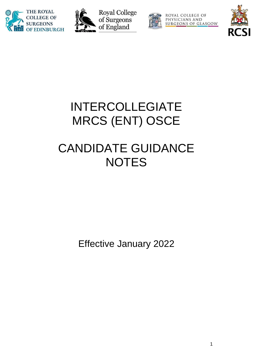





ROYAL COLLEGE OF PHYSICIANS AND<br>SURGEONS OF GLASGOW



## INTERCOLLEGIATE MRCS (ENT) OSCE

# CANDIDATE GUIDANCE **NOTES**

Effective January 2022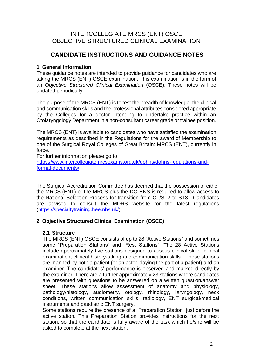### INTERCOLLEGIATE MRCS (ENT) OSCE OBJECTIVE STRUCTURED CLINICAL EXAMINATION

## **CANDIDATE INSTRUCTIONS AND GUIDANCE NOTES**

#### **1. General Information**

These guidance notes are intended to provide guidance for candidates who are taking the MRCS (ENT) OSCE examination. This examination is in the form of an *Objective Structured Clinical Examination* (OSCE). These notes will be updated periodically.

The purpose of the MRCS (ENT) is to test the breadth of knowledge, the clinical and communication skills and the professional attributes considered appropriate by the Colleges for a doctor intending to undertake practice within an Otolaryngology Department in a non-consultant career grade or trainee position.

The MRCS (ENT) is available to candidates who have satisfied the examination requirements as described in the Regulations for the award of Membership to one of the Surgical Royal Colleges of Great Britain: MRCS (ENT), currently in force.

For further information please go to

[https://www.intercollegiatemrcsexams.org.uk/dohns/dohns-regulations-and](https://www.intercollegiatemrcsexams.org.uk/dohns/dohns-regulations-and-formal-documents/)[formal-documents/](https://www.intercollegiatemrcsexams.org.uk/dohns/dohns-regulations-and-formal-documents/)

The Surgical Accreditation Committee has deemed that the possession of either the MRCS (ENT) or the MRCS plus the DO-HNS is required to allow access to the National Selection Process for transition from CT/ST2 to ST3. Candidates are advised to consult the MDRS website for the latest regulations [\(https://specialtytraining.hee.nhs.uk/\)](https://specialtytraining.hee.nhs.uk/).

#### **2. Objective Structured Clinical Examination (OSCE)**

#### **2.1 Structure**

The MRCS (ENT) OSCE consists of up to 28 "Active Stations" and sometimes some "Preparation Stations" and "Rest Stations". The 28 Active Stations include approximately five stations designed to assess clinical skills, clinical examination, clinical history-taking and communication skills. These stations are manned by both a patient (or an actor playing the part of a patient) and an examiner. The candidates' performance is observed and marked directly by the examiner. There are a further approximately 23 stations where candidates are presented with questions to be answered on a written question/answer sheet. These stations allow assessment of anatomy and physiology, pathology/histology, audiometry, otology, rhinology, laryngology, neck conditions, written communication skills, radiology, ENT surgical/medical instruments and paediatric ENT surgery.

Some stations require the presence of a "Preparation Station" just before the active station. This Preparation Station provides instructions for the next station, so that the candidate is fully aware of the task which he/she will be asked to complete at the next station.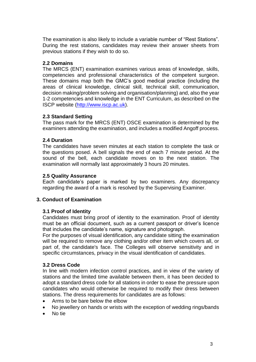The examination is also likely to include a variable number of "Rest Stations". During the rest stations, candidates may review their answer sheets from previous stations if they wish to do so.

#### **2.2 Domains**

The MRCS (ENT) examination examines various areas of knowledge, skills, competencies and professional characteristics of the competent surgeon. These domains map both the GMC's good medical practice (including the areas of clinical knowledge, clinical skill, technical skill, communication, decision making/problem solving and organisation/planning) and, also the year 1-2 competencies and knowledge in the ENT Curriculum, as described on the ISCP website [\(http://www.iscp.ac.uk\)](http://www.iscp.ac.uk/).

#### **2.3 Standard Setting**

The pass mark for the MRCS (ENT) OSCE examination is determined by the examiners attending the examination, and includes a modified Angoff process.

#### **2.4 Duration**

The candidates have seven minutes at each station to complete the task or the questions posed. A bell signals the end of each 7 minute period. At the sound of the bell, each candidate moves on to the next station. The examination will normally last approximately 3 hours 20 minutes.

#### **2.5 Quality Assurance**

Each candidate's paper is marked by two examiners. Any discrepancy regarding the award of a mark is resolved by the Supervising Examiner.

#### **3. Conduct of Examination**

#### **3.1 Proof of Identity**

Candidates must bring proof of identity to the examination. Proof of identity must be an official document, such as a current passport or driver's licence that includes the candidate's name, signature and photograph.

For the purposes of visual identification, any candidate sitting the examination will be required to remove any clothing and/or other item which covers all, or part of, the candidate's face. The Colleges will observe sensitivity and in specific circumstances, privacy in the visual identification of candidates.

#### **3.2 Dress Code**

In line with modern infection control practices, and in view of the variety of stations and the limited time available between them, it has been decided to adopt a standard dress code for all stations in order to ease the pressure upon candidates who would otherwise be required to modify their dress between stations. The dress requirements for candidates are as follows:

- Arms to be bare below the elbow
- No jewellery on hands or wrists with the exception of wedding rings/bands
- No tie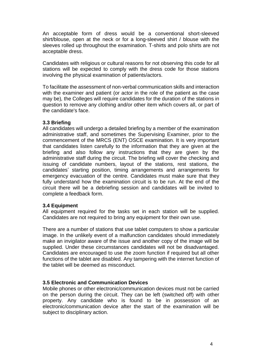An acceptable form of dress would be a conventional short-sleeved shirt/blouse, open at the neck or for a long-sleeved shirt / blouse with the sleeves rolled up throughout the examination. T-shirts and polo shirts are not acceptable dress.

Candidates with religious or cultural reasons for not observing this code for all stations will be expected to comply with the dress code for those stations involving the physical examination of patients/actors.

To facilitate the assessment of non-verbal communication skills and interaction with the examiner and patient (or actor in the role of the patient as the case may be)*,* the Colleges will require candidates for the duration of the stations in question to remove any clothing and/or other item which covers all, or part of the candidate's face.

#### **3.3 Briefing**

All candidates will undergo a detailed briefing by a member of the examination administrative staff, and sometimes the Supervising Examiner, prior to the commencement of the MRCS (ENT) OSCE examination. It is very important that candidates listen carefully to the information that they are given at the briefing and also follow any instructions that they are given by the administrative staff during the circuit. The briefing will cover the checking and issuing of candidate numbers, layout of the stations, rest stations, the candidates' starting position, timing arrangements and arrangements for emergency evacuation of the centre. Candidates must make sure that they fully understand how the examination circuit is to be run. At the end of the circuit there will be a debriefing session and candidates will be invited to complete a feedback form.

#### **3.4 Equipment**

All equipment required for the tasks set in each station will be supplied. Candidates are not required to bring any equipment for their own use.

There are a number of stations that use tablet computers to show a particular image. In the unlikely event of a malfunction candidates should immediately make an invigilator aware of the issue and another copy of the image will be supplied. Under these circumstances candidates will not be disadvantaged. Candidates are encouraged to use the zoom function if required but all other functions of the tablet are disabled. Any tampering with the internet function of the tablet will be deemed as misconduct.

#### **3.5 Electronic and Communication Devices**

Mobile phones or other electronic/communication devices must not be carried on the person during the circuit. They can be left (switched off) with other property. Any candidate who is found to be in possession of an electronic/communication device after the start of the examination will be subject to disciplinary action.